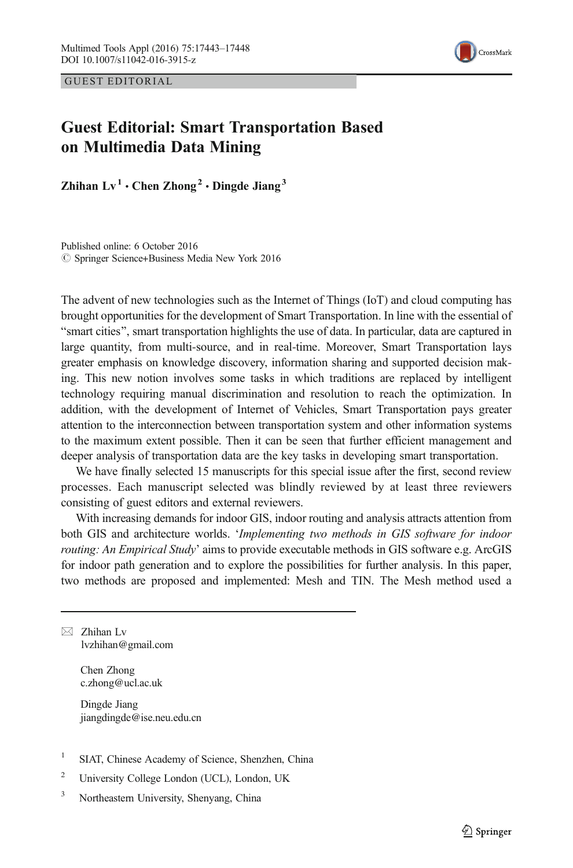

GUEST EDITORIAL

## Guest Editorial: Smart Transportation Based on Multimedia Data Mining

Zhihan  $Lv^1 \cdot$  Chen Zhong<sup>2</sup>  $\cdot$  Dingde Jiang<sup>3</sup>

Published online: 6 October 2016 © Springer Science+Business Media New York 2016

The advent of new technologies such as the Internet of Things (IoT) and cloud computing has brought opportunities for the development of Smart Transportation. In line with the essential of "smart cities", smart transportation highlights the use of data. In particular, data are captured in large quantity, from multi-source, and in real-time. Moreover, Smart Transportation lays greater emphasis on knowledge discovery, information sharing and supported decision making. This new notion involves some tasks in which traditions are replaced by intelligent technology requiring manual discrimination and resolution to reach the optimization. In addition, with the development of Internet of Vehicles, Smart Transportation pays greater attention to the interconnection between transportation system and other information systems to the maximum extent possible. Then it can be seen that further efficient management and deeper analysis of transportation data are the key tasks in developing smart transportation.

We have finally selected 15 manuscripts for this special issue after the first, second review processes. Each manuscript selected was blindly reviewed by at least three reviewers consisting of guest editors and external reviewers.

With increasing demands for indoor GIS, indoor routing and analysis attracts attention from both GIS and architecture worlds. 'Implementing two methods in GIS software for indoor routing: An Empirical Study' aims to provide executable methods in GIS software e.g. ArcGIS for indoor path generation and to explore the possibilities for further analysis. In this paper, two methods are proposed and implemented: Mesh and TIN. The Mesh method used a

 $\boxtimes$  Zhihan Lv lvzhihan@gmail.com

> Chen Zhong c.zhong@ucl.ac.uk

Dingde Jiang jiangdingde@ise.neu.edu.cn

- <sup>1</sup> SIAT, Chinese Academy of Science, Shenzhen, China
- <sup>2</sup> University College London (UCL), London, UK
- <sup>3</sup> Northeastern University, Shenyang, China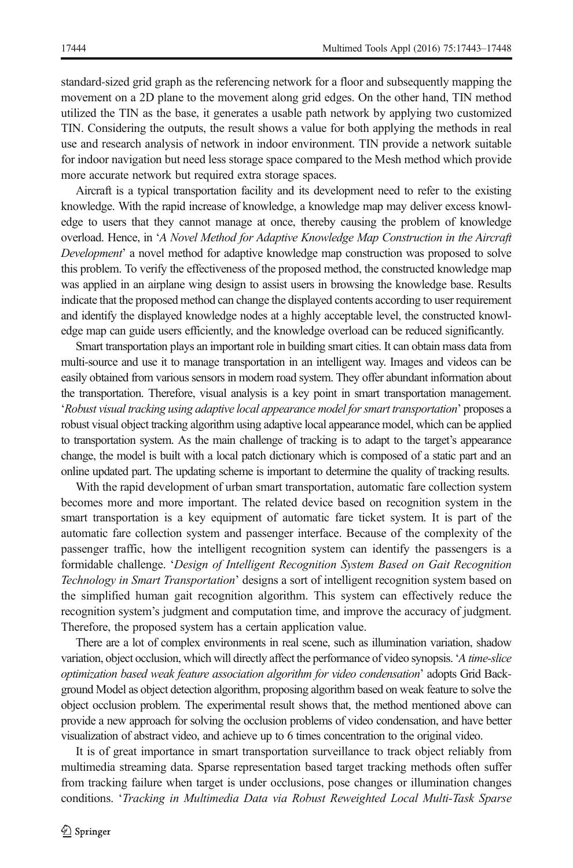standard-sized grid graph as the referencing network for a floor and subsequently mapping the movement on a 2D plane to the movement along grid edges. On the other hand, TIN method utilized the TIN as the base, it generates a usable path network by applying two customized TIN. Considering the outputs, the result shows a value for both applying the methods in real use and research analysis of network in indoor environment. TIN provide a network suitable for indoor navigation but need less storage space compared to the Mesh method which provide more accurate network but required extra storage spaces.

Aircraft is a typical transportation facility and its development need to refer to the existing knowledge. With the rapid increase of knowledge, a knowledge map may deliver excess knowledge to users that they cannot manage at once, thereby causing the problem of knowledge overload. Hence, in 'A Novel Method for Adaptive Knowledge Map Construction in the Aircraft Development' a novel method for adaptive knowledge map construction was proposed to solve this problem. To verify the effectiveness of the proposed method, the constructed knowledge map was applied in an airplane wing design to assist users in browsing the knowledge base. Results indicate that the proposed method can change the displayed contents according to user requirement and identify the displayed knowledge nodes at a highly acceptable level, the constructed knowledge map can guide users efficiently, and the knowledge overload can be reduced significantly.

Smart transportation plays an important role in building smart cities. It can obtain mass data from multi-source and use it to manage transportation in an intelligent way. Images and videos can be easily obtained from various sensors in modern road system. They offer abundant information about the transportation. Therefore, visual analysis is a key point in smart transportation management. 'Robust visual tracking using adaptive local appearance model for smart transportation' proposes a robust visual object tracking algorithm using adaptive local appearance model, which can be applied to transportation system. As the main challenge of tracking is to adapt to the target's appearance change, the model is built with a local patch dictionary which is composed of a static part and an online updated part. The updating scheme is important to determine the quality of tracking results.

With the rapid development of urban smart transportation, automatic fare collection system becomes more and more important. The related device based on recognition system in the smart transportation is a key equipment of automatic fare ticket system. It is part of the automatic fare collection system and passenger interface. Because of the complexity of the passenger traffic, how the intelligent recognition system can identify the passengers is a formidable challenge. 'Design of Intelligent Recognition System Based on Gait Recognition Technology in Smart Transportation' designs a sort of intelligent recognition system based on the simplified human gait recognition algorithm. This system can effectively reduce the recognition system's judgment and computation time, and improve the accuracy of judgment. Therefore, the proposed system has a certain application value.

There are a lot of complex environments in real scene, such as illumination variation, shadow variation, object occlusion, which will directly affect the performance of video synopsis. 'A time-slice optimization based weak feature association algorithm for video condensation' adopts Grid Background Model as object detection algorithm, proposing algorithm based on weak feature to solve the object occlusion problem. The experimental result shows that, the method mentioned above can provide a new approach for solving the occlusion problems of video condensation, and have better visualization of abstract video, and achieve up to 6 times concentration to the original video.

It is of great importance in smart transportation surveillance to track object reliably from multimedia streaming data. Sparse representation based target tracking methods often suffer from tracking failure when target is under occlusions, pose changes or illumination changes conditions. 'Tracking in Multimedia Data via Robust Reweighted Local Multi-Task Sparse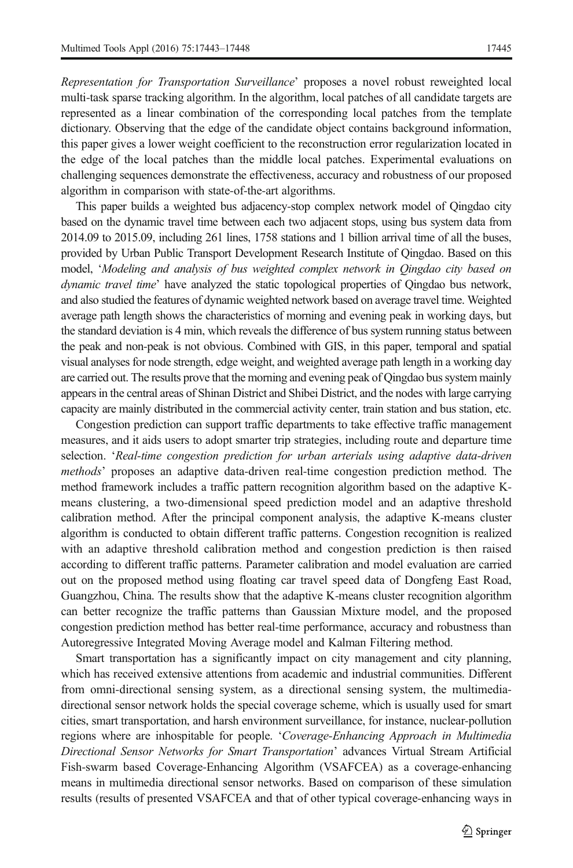Representation for Transportation Surveillance' proposes a novel robust reweighted local multi-task sparse tracking algorithm. In the algorithm, local patches of all candidate targets are represented as a linear combination of the corresponding local patches from the template dictionary. Observing that the edge of the candidate object contains background information, this paper gives a lower weight coefficient to the reconstruction error regularization located in the edge of the local patches than the middle local patches. Experimental evaluations on challenging sequences demonstrate the effectiveness, accuracy and robustness of our proposed algorithm in comparison with state-of-the-art algorithms.

This paper builds a weighted bus adjacency-stop complex network model of Qingdao city based on the dynamic travel time between each two adjacent stops, using bus system data from 2014.09 to 2015.09, including 261 lines, 1758 stations and 1 billion arrival time of all the buses, provided by Urban Public Transport Development Research Institute of Qingdao. Based on this model, 'Modeling and analysis of bus weighted complex network in Qingdao city based on dynamic travel time' have analyzed the static topological properties of Qingdao bus network, and also studied the features of dynamic weighted network based on average travel time. Weighted average path length shows the characteristics of morning and evening peak in working days, but the standard deviation is 4 min, which reveals the difference of bus system running status between the peak and non-peak is not obvious. Combined with GIS, in this paper, temporal and spatial visual analyses for node strength, edge weight, and weighted average path length in a working day are carried out. The results prove that the morning and evening peak of Qingdao bus system mainly appears in the central areas of Shinan District and Shibei District, and the nodes with large carrying capacity are mainly distributed in the commercial activity center, train station and bus station, etc.

Congestion prediction can support traffic departments to take effective traffic management measures, and it aids users to adopt smarter trip strategies, including route and departure time selection. 'Real-time congestion prediction for urban arterials using adaptive data-driven methods' proposes an adaptive data-driven real-time congestion prediction method. The method framework includes a traffic pattern recognition algorithm based on the adaptive Kmeans clustering, a two-dimensional speed prediction model and an adaptive threshold calibration method. After the principal component analysis, the adaptive K-means cluster algorithm is conducted to obtain different traffic patterns. Congestion recognition is realized with an adaptive threshold calibration method and congestion prediction is then raised according to different traffic patterns. Parameter calibration and model evaluation are carried out on the proposed method using floating car travel speed data of Dongfeng East Road, Guangzhou, China. The results show that the adaptive K-means cluster recognition algorithm can better recognize the traffic patterns than Gaussian Mixture model, and the proposed congestion prediction method has better real-time performance, accuracy and robustness than Autoregressive Integrated Moving Average model and Kalman Filtering method.

Smart transportation has a significantly impact on city management and city planning, which has received extensive attentions from academic and industrial communities. Different from omni-directional sensing system, as a directional sensing system, the multimediadirectional sensor network holds the special coverage scheme, which is usually used for smart cities, smart transportation, and harsh environment surveillance, for instance, nuclear-pollution regions where are inhospitable for people. 'Coverage-Enhancing Approach in Multimedia Directional Sensor Networks for Smart Transportation' advances Virtual Stream Artificial Fish-swarm based Coverage-Enhancing Algorithm (VSAFCEA) as a coverage-enhancing means in multimedia directional sensor networks. Based on comparison of these simulation results (results of presented VSAFCEA and that of other typical coverage-enhancing ways in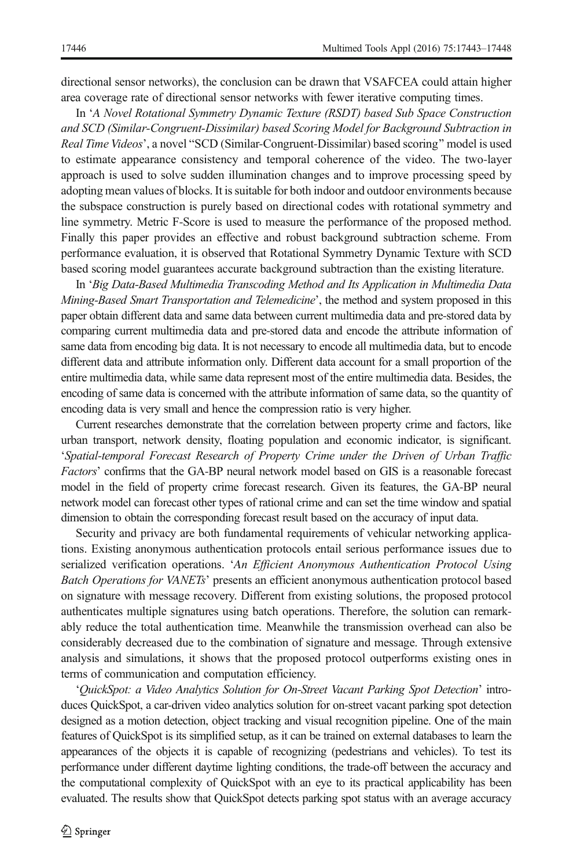directional sensor networks), the conclusion can be drawn that VSAFCEA could attain higher area coverage rate of directional sensor networks with fewer iterative computing times.

In 'A Novel Rotational Symmetry Dynamic Texture (RSDT) based Sub Space Construction and SCD (Similar-Congruent-Dissimilar) based Scoring Model for Background Subtraction in Real Time Videos', a novel "SCD (Similar-Congruent-Dissimilar) based scoring" model is used to estimate appearance consistency and temporal coherence of the video. The two-layer approach is used to solve sudden illumination changes and to improve processing speed by adopting mean values of blocks. It is suitable for both indoor and outdoor environments because the subspace construction is purely based on directional codes with rotational symmetry and line symmetry. Metric F-Score is used to measure the performance of the proposed method. Finally this paper provides an effective and robust background subtraction scheme. From performance evaluation, it is observed that Rotational Symmetry Dynamic Texture with SCD based scoring model guarantees accurate background subtraction than the existing literature.

In 'Big Data-Based Multimedia Transcoding Method and Its Application in Multimedia Data Mining-Based Smart Transportation and Telemedicine', the method and system proposed in this paper obtain different data and same data between current multimedia data and pre-stored data by comparing current multimedia data and pre-stored data and encode the attribute information of same data from encoding big data. It is not necessary to encode all multimedia data, but to encode different data and attribute information only. Different data account for a small proportion of the entire multimedia data, while same data represent most of the entire multimedia data. Besides, the encoding of same data is concerned with the attribute information of same data, so the quantity of encoding data is very small and hence the compression ratio is very higher.

Current researches demonstrate that the correlation between property crime and factors, like urban transport, network density, floating population and economic indicator, is significant. 'Spatial-temporal Forecast Research of Property Crime under the Driven of Urban Traffic Factors' confirms that the GA-BP neural network model based on GIS is a reasonable forecast model in the field of property crime forecast research. Given its features, the GA-BP neural network model can forecast other types of rational crime and can set the time window and spatial dimension to obtain the corresponding forecast result based on the accuracy of input data.

Security and privacy are both fundamental requirements of vehicular networking applications. Existing anonymous authentication protocols entail serious performance issues due to serialized verification operations. 'An Efficient Anonymous Authentication Protocol Using Batch Operations for VANETs' presents an efficient anonymous authentication protocol based on signature with message recovery. Different from existing solutions, the proposed protocol authenticates multiple signatures using batch operations. Therefore, the solution can remarkably reduce the total authentication time. Meanwhile the transmission overhead can also be considerably decreased due to the combination of signature and message. Through extensive analysis and simulations, it shows that the proposed protocol outperforms existing ones in terms of communication and computation efficiency.

'QuickSpot: a Video Analytics Solution for On-Street Vacant Parking Spot Detection' introduces QuickSpot, a car-driven video analytics solution for on-street vacant parking spot detection designed as a motion detection, object tracking and visual recognition pipeline. One of the main features of QuickSpot is its simplified setup, as it can be trained on external databases to learn the appearances of the objects it is capable of recognizing (pedestrians and vehicles). To test its performance under different daytime lighting conditions, the trade-off between the accuracy and the computational complexity of QuickSpot with an eye to its practical applicability has been evaluated. The results show that QuickSpot detects parking spot status with an average accuracy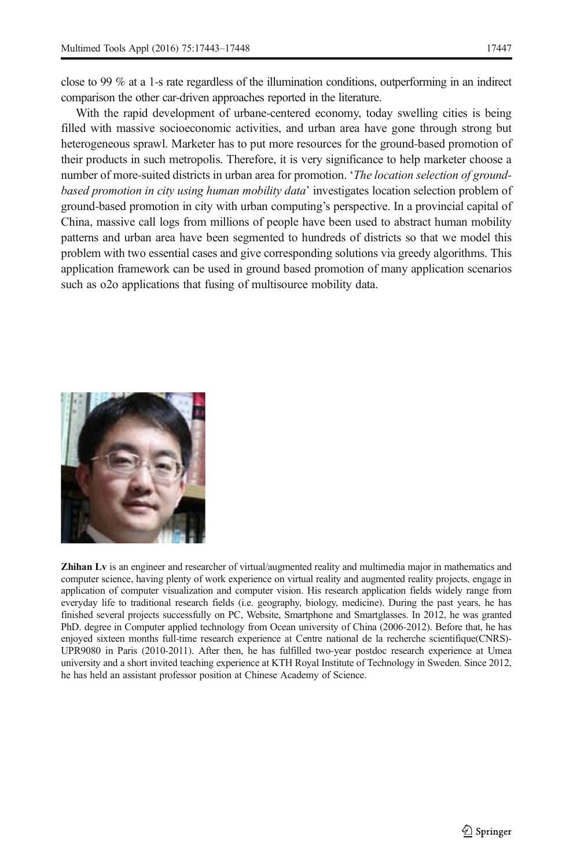close to 99 % at a 1-s rate regardless of the illumination conditions, outperforming in an indirect comparison the other car-driven approaches reported in the literature.

With the rapid development of urbane-centered economy, today swelling cities is being filled with massive socioeconomic activities, and urban area have gone through strong but heterogeneous sprawl. Marketer has to put more resources for the ground-based promotion of their products in such metropolis. Therefore, it is very significance to help marketer choose a number of more-suited districts in urban area for promotion. 'The location selection of groundbased promotion in city using human mobility data' investigates location selection problem of ground-based promotion in city with urban computing's perspective. In a provincial capital of China, massive call logs from millions of people have been used to abstract human mobility patterns and urban area have been segmented to hundreds of districts so that we model this problem with two essential cases and give corresponding solutions via greedy algorithms. This application framework can be used in ground based promotion of many application scenarios such as o2o applications that fusing of multisource mobility data.



Zhihan Lv is an engineer and researcher of virtual/augmented reality and multimedia major in mathematics and computer science, having plenty of work experience on virtual reality and augmented reality projects, engage in application of computer visualization and computer vision. His research application fields widely range from everyday life to traditional research fields (i.e. geography, biology, medicine). During the past years, he has finished several projects successfully on PC, Website, Smartphone and Smartglasses. In 2012, he was granted PhD. degree in Computer applied technology from Ocean university of China (2006-2012). Before that, he has enjoyed sixteen months full-time research experience at Centre national de la recherche scientifique(CNRS)- UPR9080 in Paris (2010-2011). After then, he has fulfilled two-year postdoc research experience at Umea university and a short invited teaching experience at KTH Royal Institute of Technology in Sweden. Since 2012, he has held an assistant professor position at Chinese Academy of Science.